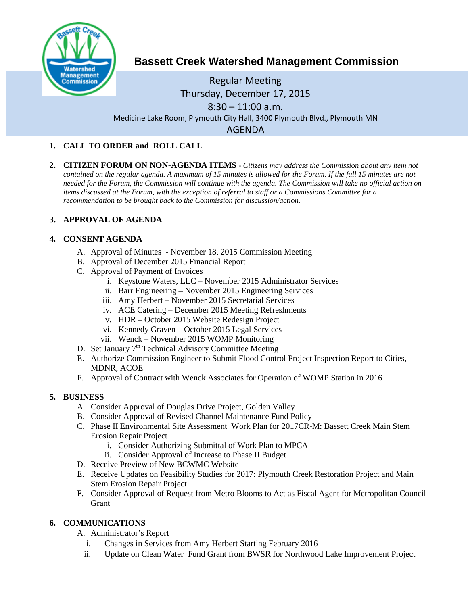

# **Bassett Creek Watershed Management Commission**

## Regular Meeting Thursday, December 17, 2015  $8:30 - 11:00$  a.m. Medicine Lake Room, Plymouth City Hall, 3400 Plymouth Blvd., Plymouth MN AGENDA

## **1. CALL TO ORDER and ROLL CALL**

**2. CITIZEN FORUM ON NON-AGENDA ITEMS -** *Citizens may address the Commission about any item not contained on the regular agenda. A maximum of 15 minutes is allowed for the Forum. If the full 15 minutes are not needed for the Forum, the Commission will continue with the agenda. The Commission will take no official action on items discussed at the Forum, with the exception of referral to staff or a Commissions Committee for a recommendation to be brought back to the Commission for discussion/action.*

## **3. APPROVAL OF AGENDA**

## **4. CONSENT AGENDA**

- A. Approval of Minutes November 18, 2015 Commission Meeting
- B. Approval of December 2015 Financial Report
- C. Approval of Payment of Invoices
	- i. Keystone Waters, LLC November 2015 Administrator Services
	- ii. Barr Engineering November 2015 Engineering Services
	- iii. Amy Herbert November 2015 Secretarial Services
	- iv. ACE Catering December 2015 Meeting Refreshments
	- v. HDR October 2015 Website Redesign Project
	- vi. Kennedy Graven October 2015 Legal Services
	- vii. Wenck November 2015 WOMP Monitoring
- D. Set January 7<sup>th</sup> Technical Advisory Committee Meeting
- E. Authorize Commission Engineer to Submit Flood Control Project Inspection Report to Cities, MDNR, ACOE
- F. Approval of Contract with Wenck Associates for Operation of WOMP Station in 2016

#### **5. BUSINESS**

- A. Consider Approval of Douglas Drive Project, Golden Valley
- B. Consider Approval of Revised Channel Maintenance Fund Policy
- C. Phase II Environmental Site Assessment Work Plan for 2017CR-M: Bassett Creek Main Stem Erosion Repair Project
	- i. Consider Authorizing Submittal of Work Plan to MPCA
	- ii. Consider Approval of Increase to Phase II Budget
- D. Receive Preview of New BCWMC Website
- E. Receive Updates on Feasibility Studies for 2017: Plymouth Creek Restoration Project and Main Stem Erosion Repair Project
- F. Consider Approval of Request from Metro Blooms to Act as Fiscal Agent for Metropolitan Council **Grant**

## **6. COMMUNICATIONS**

- A. Administrator's Report
	- i. Changes in Services from Amy Herbert Starting February 2016
	- ii. Update on Clean Water Fund Grant from BWSR for Northwood Lake Improvement Project